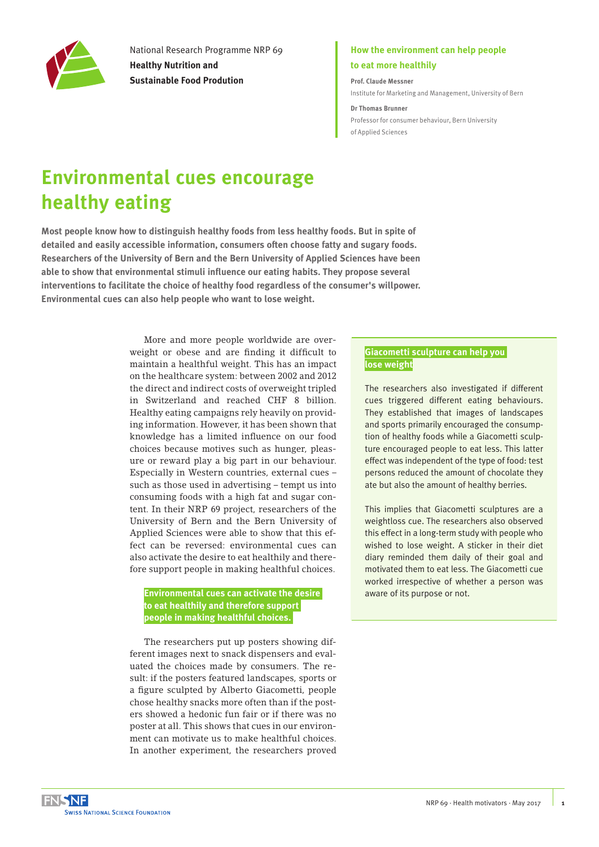

National Research Programme NRP 69 **Healthy Nutrition and Sustainable Food Prodution**

### **How the environment can help people to eat more healthily**

**Prof. Claude Messner** [Institute for Marketing and Management, University of Bern](http://www.management.imu.unibe.ch/)

**Dr Thomas Brunner** [Professor for consumer behaviour, Bern University](https://www.hafl.bfh.ch/en/research-consulting-services/food-science/food-business-and-consumption.html)  [of Applied Sciences](https://www.hafl.bfh.ch/en/research-consulting-services/food-science/food-business-and-consumption.html) 

# **Environmental cues encourage healthy eating**

**Most people know how to distinguish healthy foods from less healthy foods. But in spite of detailed and easily accessible information, consumers often choose fatty and sugary foods. Researchers of the University of Bern and the Bern University of Applied Sciences have been able to show that environmental stimuli influence our eating habits. They propose several interventions to facilitate the choice of healthy food regardless of the consumer's willpower. Environmental cues can also help people who want to lose weight.** 

> More and more people worldwide are overweight or obese and are finding it difficult to maintain a healthful weight. This has an impact on the healthcare system: between 2002 and 2012 the direct and indirect costs of overweight tripled in Switzerland and reached CHF 8 billion. Healthy eating campaigns rely heavily on providing information. However, it has been shown that knowledge has a limited influence on our food choices because motives such as hunger, pleasure or reward play a big part in our behaviour. Especially in Western countries, external cues – such as those used in advertising – tempt us into consuming foods with a high fat and sugar content. In their NRP 69 project, researchers of the University of Bern and the Bern University of Applied Sciences were able to show that this effect can be reversed: environmental cues can also activate the desire to eat healthily and therefore support people in making healthful choices.

#### **Environmental cues can activate the desire to eat healthily and therefore support people in making healthful choices.**

The researchers put up posters showing different images next to snack dispensers and evaluated the choices made by consumers. The result: if the posters featured landscapes, sports or a figure sculpted by Alberto Giacometti, people chose healthy snacks more often than if the posters showed a hedonic fun fair or if there was no poster at all. This shows that cues in our environment can motivate us to make healthful choices. In another experiment, the researchers proved

#### **Giacometti sculpture can help you lose weight**

The researchers also investigated if different cues triggered different eating behaviours. They established that images of landscapes and sports primarily encouraged the consumption of healthy foods while a Giacometti sculpture encouraged people to eat less. This latter effect was independent of the type of food: test persons reduced the amount of chocolate they ate but also the amount of healthy berries.

This implies that Giacometti sculptures are a weightloss cue. The researchers also observed this effect in a long-term study with people who wished to lose weight. A sticker in their diet diary reminded them daily of their goal and motivated them to eat less. The Giacometti cue worked irrespective of whether a person was aware of its purpose or not.